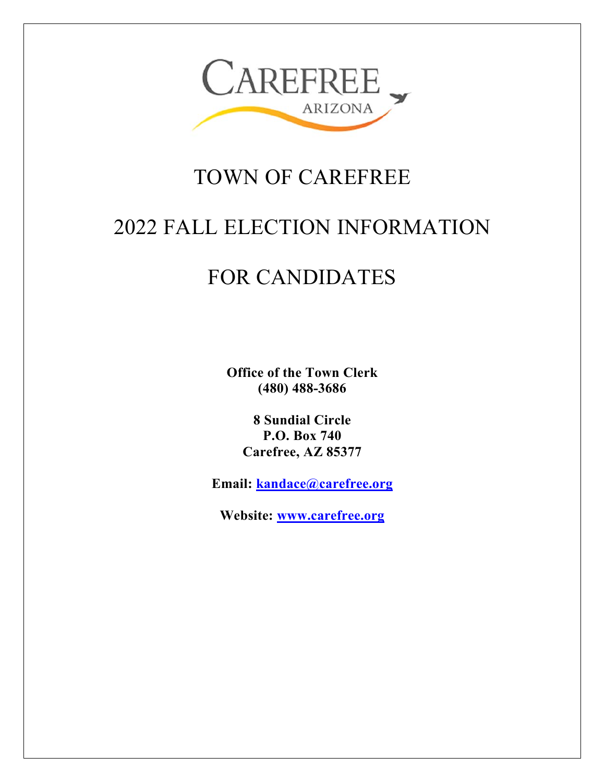

# TOWN OF CAREFREE

# 2022 FALL ELECTION INFORMATION

# FOR CANDIDATES

**Office of the Town Clerk (480) 488-3686** 

**8 Sundial Circle P.O. Box 740 Carefree, AZ 85377** 

**Email: kandace@carefree.org**

**Website: www.carefree.org**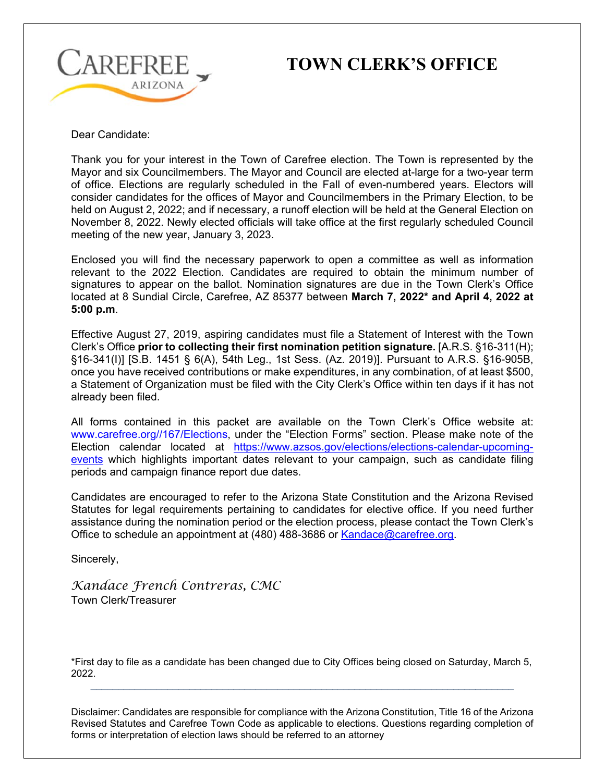

# **CAREFREE** TOWN CLERK'S OFFICE

Dear Candidate:

Thank you for your interest in the Town of Carefree election. The Town is represented by the Mayor and six Councilmembers. The Mayor and Council are elected at-large for a two-year term of office. Elections are regularly scheduled in the Fall of even-numbered years. Electors will consider candidates for the offices of Mayor and Councilmembers in the Primary Election, to be held on August 2, 2022; and if necessary, a runoff election will be held at the General Election on November 8, 2022. Newly elected officials will take office at the first regularly scheduled Council meeting of the new year, January 3, 2023.

Enclosed you will find the necessary paperwork to open a committee as well as information relevant to the 2022 Election. Candidates are required to obtain the minimum number of signatures to appear on the ballot. Nomination signatures are due in the Town Clerk's Office located at 8 Sundial Circle, Carefree, AZ 85377 between **March 7, 2022\* and April 4, 2022 at 5:00 p.m**.

Effective August 27, 2019, aspiring candidates must file a Statement of Interest with the Town Clerk's Office **prior to collecting their first nomination petition signature.** [A.R.S. §16-311(H); §16-341(I)] [S.B. 1451 § 6(A), 54th Leg., 1st Sess. (Az. 2019)]. Pursuant to A.R.S. §16-905B, once you have received contributions or make expenditures, in any combination, of at least \$500, a Statement of Organization must be filed with the City Clerk's Office within ten days if it has not already been filed.

All forms contained in this packet are available on the Town Clerk's Office website at: www.carefree.org//167/Elections, under the "Election Forms" section. Please make note of the Election calendar located at https://www.azsos.gov/elections/elections-calendar-upcomingevents which highlights important dates relevant to your campaign, such as candidate filing periods and campaign finance report due dates.

Candidates are encouraged to refer to the Arizona State Constitution and the Arizona Revised Statutes for legal requirements pertaining to candidates for elective office. If you need further assistance during the nomination period or the election process, please contact the Town Clerk's Office to schedule an appointment at (480) 488-3686 or Kandace@carefree.org.

Sincerely,

*Kandace French Contreras, CMC* Town Clerk/Treasurer

\*First day to file as a candidate has been changed due to City Offices being closed on Saturday, March 5, 2022.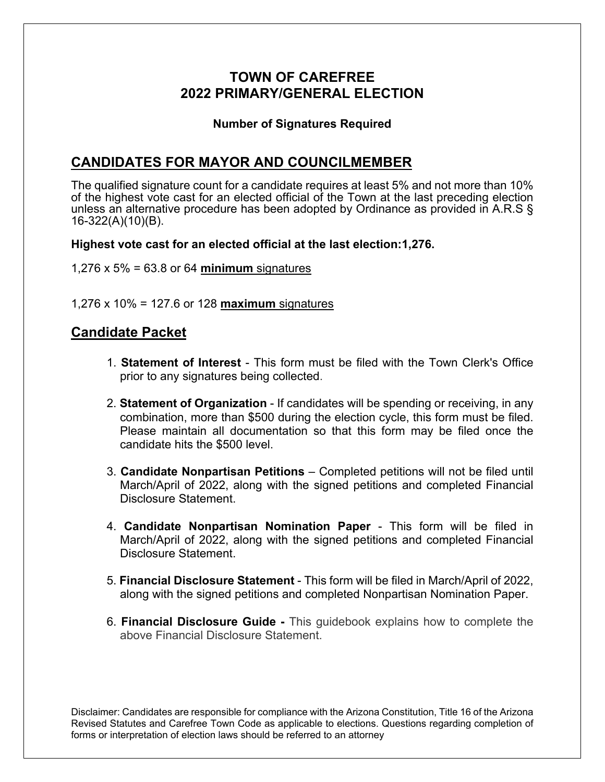## **TOWN OF CAREFREE 2022 PRIMARY/GENERAL ELECTION**

### **Number of Signatures Required**

## **CANDIDATES FOR MAYOR AND COUNCILMEMBER**

The qualified signature count for a candidate requires at least 5% and not more than 10% of the highest vote cast for an elected official of the Town at the last preceding election unless an alternative procedure has been adopted by Ordinance as provided in A.R.S § 16-322(A)(10)(B).

**Highest vote cast for an elected official at the last election:1,276.** 

1,276 x 5% = 63.8 or 64 **minimum** signatures

1,276 x 10% = 127.6 or 128 **maximum** signatures

### **Candidate Packet**

- 1. **Statement of Interest** This form must be filed with the Town Clerk's Office prior to any signatures being collected.
- 2. **Statement of Organization** If candidates will be spending or receiving, in any combination, more than \$500 during the election cycle, this form must be filed. Please maintain all documentation so that this form may be filed once the candidate hits the \$500 level.
- 3. **Candidate Nonpartisan Petitions** Completed petitions will not be filed until March/April of 2022, along with the signed petitions and completed Financial Disclosure Statement.
- 4. **Candidate Nonpartisan Nomination Paper** This form will be filed in March/April of 2022, along with the signed petitions and completed Financial Disclosure Statement.
- 5. **Financial Disclosure Statement** This form will be filed in March/April of 2022, along with the signed petitions and completed Nonpartisan Nomination Paper.
- 6. **Financial Disclosure Guide** This guidebook explains how to complete the above Financial Disclosure Statement.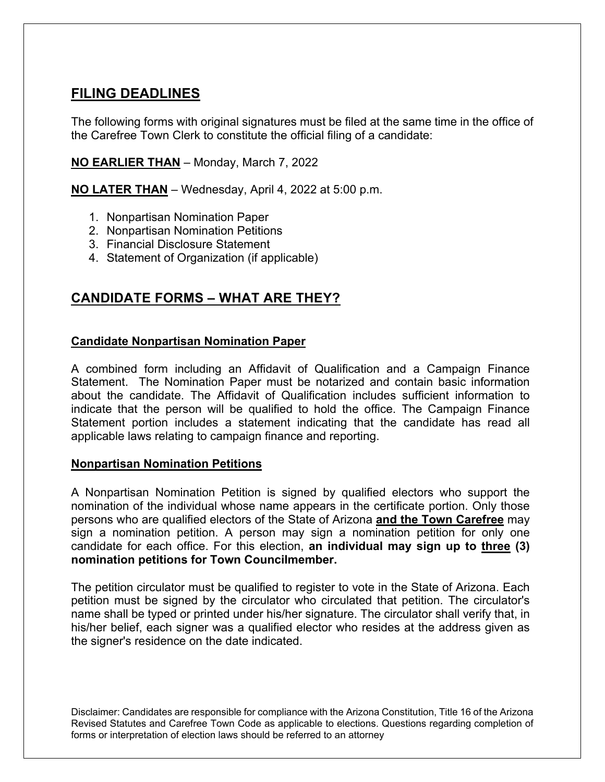## **FILING DEADLINES**

The following forms with original signatures must be filed at the same time in the office of the Carefree Town Clerk to constitute the official filing of a candidate:

### **NO EARLIER THAN** – Monday, March 7, 2022

**NO LATER THAN** – Wednesday, April 4, 2022 at 5:00 p.m.

- 1. Nonpartisan Nomination Paper
- 2. Nonpartisan Nomination Petitions
- 3. Financial Disclosure Statement
- 4. Statement of Organization (if applicable)

## **CANDIDATE FORMS – WHAT ARE THEY?**

#### **Candidate Nonpartisan Nomination Paper**

A combined form including an Affidavit of Qualification and a Campaign Finance Statement. The Nomination Paper must be notarized and contain basic information about the candidate. The Affidavit of Qualification includes sufficient information to indicate that the person will be qualified to hold the office. The Campaign Finance Statement portion includes a statement indicating that the candidate has read all applicable laws relating to campaign finance and reporting.

#### **Nonpartisan Nomination Petitions**

A Nonpartisan Nomination Petition is signed by qualified electors who support the nomination of the individual whose name appears in the certificate portion. Only those persons who are qualified electors of the State of Arizona **and the Town Carefree** may sign a nomination petition. A person may sign a nomination petition for only one candidate for each office. For this election, **an individual may sign up to three (3) nomination petitions for Town Councilmember.**

The petition circulator must be qualified to register to vote in the State of Arizona. Each petition must be signed by the circulator who circulated that petition. The circulator's name shall be typed or printed under his/her signature. The circulator shall verify that, in his/her belief, each signer was a qualified elector who resides at the address given as the signer's residence on the date indicated.